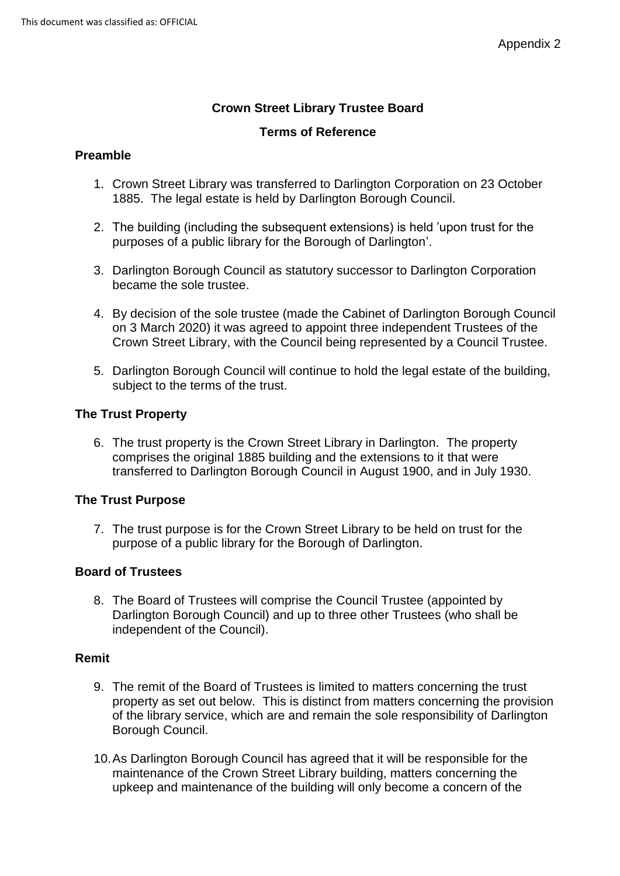# **Crown Street Library Trustee Board**

### **Terms of Reference**

## **Preamble**

- 1. Crown Street Library was transferred to Darlington Corporation on 23 October 1885. The legal estate is held by Darlington Borough Council.
- 2. The building (including the subsequent extensions) is held 'upon trust for the purposes of a public library for the Borough of Darlington'.
- 3. Darlington Borough Council as statutory successor to Darlington Corporation became the sole trustee.
- 4. By decision of the sole trustee (made the Cabinet of Darlington Borough Council on 3 March 2020) it was agreed to appoint three independent Trustees of the Crown Street Library, with the Council being represented by a Council Trustee.
- 5. Darlington Borough Council will continue to hold the legal estate of the building, subject to the terms of the trust.

# **The Trust Property**

6. The trust property is the Crown Street Library in Darlington. The property comprises the original 1885 building and the extensions to it that were transferred to Darlington Borough Council in August 1900, and in July 1930.

# **The Trust Purpose**

7. The trust purpose is for the Crown Street Library to be held on trust for the purpose of a public library for the Borough of Darlington.

### **Board of Trustees**

8. The Board of Trustees will comprise the Council Trustee (appointed by Darlington Borough Council) and up to three other Trustees (who shall be independent of the Council).

### **Remit**

- 9. The remit of the Board of Trustees is limited to matters concerning the trust property as set out below. This is distinct from matters concerning the provision of the library service, which are and remain the sole responsibility of Darlington Borough Council.
- 10.As Darlington Borough Council has agreed that it will be responsible for the maintenance of the Crown Street Library building, matters concerning the upkeep and maintenance of the building will only become a concern of the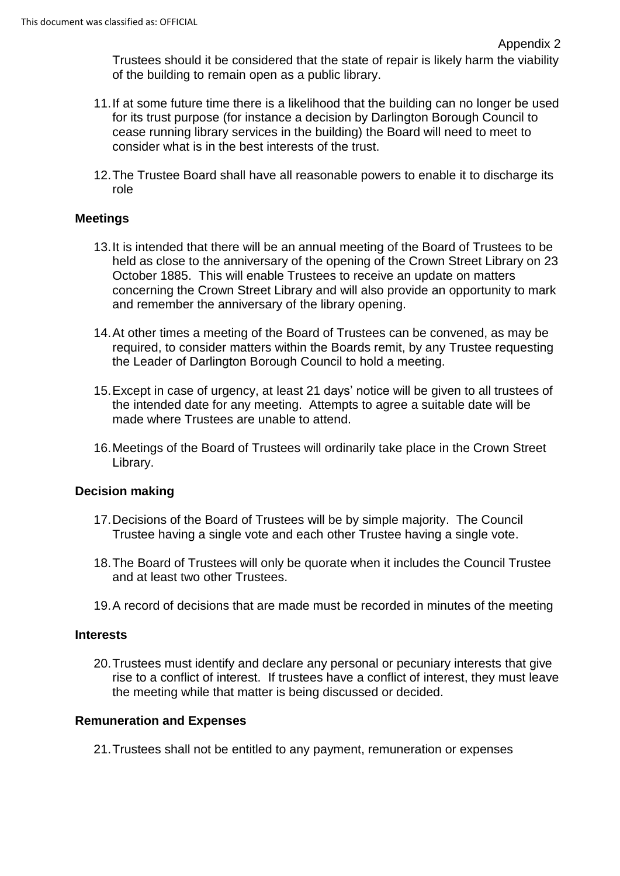Trustees should it be considered that the state of repair is likely harm the viability of the building to remain open as a public library.

- 11.If at some future time there is a likelihood that the building can no longer be used for its trust purpose (for instance a decision by Darlington Borough Council to cease running library services in the building) the Board will need to meet to consider what is in the best interests of the trust.
- 12.The Trustee Board shall have all reasonable powers to enable it to discharge its role

### **Meetings**

- 13.It is intended that there will be an annual meeting of the Board of Trustees to be held as close to the anniversary of the opening of the Crown Street Library on 23 October 1885. This will enable Trustees to receive an update on matters concerning the Crown Street Library and will also provide an opportunity to mark and remember the anniversary of the library opening.
- 14.At other times a meeting of the Board of Trustees can be convened, as may be required, to consider matters within the Boards remit, by any Trustee requesting the Leader of Darlington Borough Council to hold a meeting.
- 15.Except in case of urgency, at least 21 days' notice will be given to all trustees of the intended date for any meeting. Attempts to agree a suitable date will be made where Trustees are unable to attend.
- 16.Meetings of the Board of Trustees will ordinarily take place in the Crown Street Library.

### **Decision making**

- 17.Decisions of the Board of Trustees will be by simple majority. The Council Trustee having a single vote and each other Trustee having a single vote.
- 18.The Board of Trustees will only be quorate when it includes the Council Trustee and at least two other Trustees.
- 19.A record of decisions that are made must be recorded in minutes of the meeting

### **Interests**

20.Trustees must identify and declare any personal or pecuniary interests that give rise to a conflict of interest. If trustees have a conflict of interest, they must leave the meeting while that matter is being discussed or decided.

### **Remuneration and Expenses**

21.Trustees shall not be entitled to any payment, remuneration or expenses